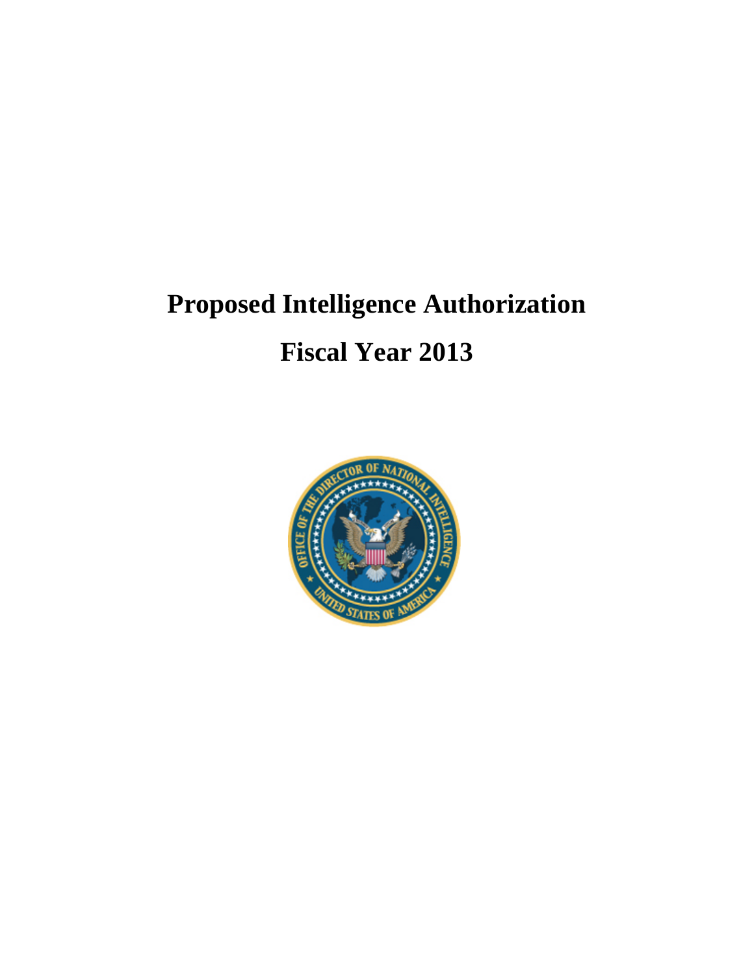# **Proposed Intelligence Authorization Fiscal Year 2013**

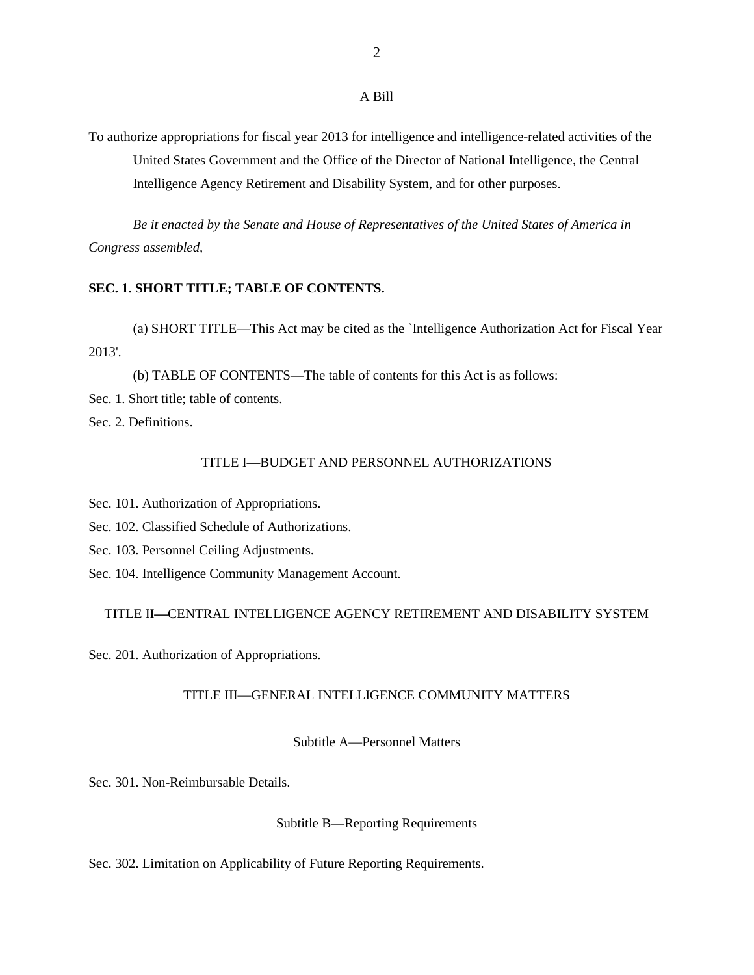To authorize appropriations for fiscal year 2013 for intelligence and intelligence-related activities of the United States Government and the Office of the Director of National Intelligence, the Central Intelligence Agency Retirement and Disability System, and for other purposes.

*Be it enacted by the Senate and House of Representatives of the United States of America in Congress assembled,*

# **SEC. 1. SHORT TITLE; TABLE OF CONTENTS.**

(a) SHORT TITLE—This Act may be cited as the `Intelligence Authorization Act for Fiscal Year 2013'.

(b) TABLE OF CONTENTS—The table of contents for this Act is as follows: Sec. 1. Short title; table of contents. Sec. 2. Definitions.

# TITLE I**—**BUDGET AND PERSONNEL AUTHORIZATIONS

Sec. 101. Authorization of Appropriations.

Sec. 102. Classified Schedule of Authorizations.

Sec. 103. Personnel Ceiling Adjustments.

Sec. 104. Intelligence Community Management Account.

#### TITLE II**—**CENTRAL INTELLIGENCE AGENCY RETIREMENT AND DISABILITY SYSTEM

Sec. 201. Authorization of Appropriations.

#### TITLE III—GENERAL INTELLIGENCE COMMUNITY MATTERS

Subtitle A—Personnel Matters

Sec. 301. Non-Reimbursable Details.

#### Subtitle B—Reporting Requirements

Sec. 302. Limitation on Applicability of Future Reporting Requirements.

A Bill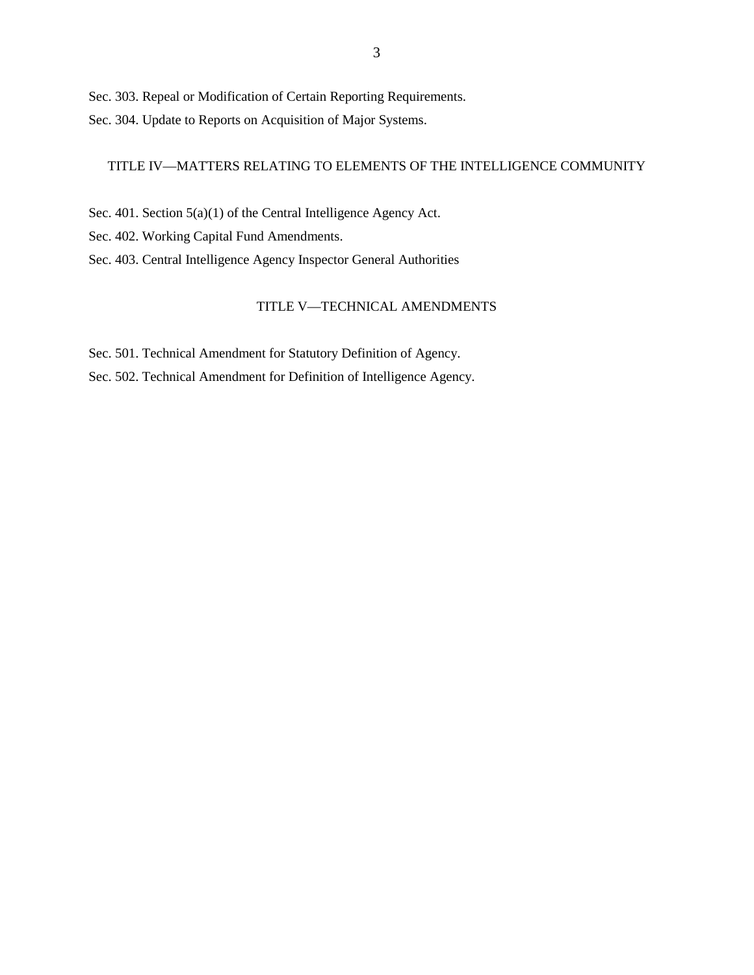Sec. 303. Repeal or Modification of Certain Reporting Requirements. Sec. 304. Update to Reports on Acquisition of Major Systems.

# TITLE IV—MATTERS RELATING TO ELEMENTS OF THE INTELLIGENCE COMMUNITY

Sec. 401. Section 5(a)(1) of the Central Intelligence Agency Act.

Sec. 402. Working Capital Fund Amendments.

Sec. 403. Central Intelligence Agency Inspector General Authorities

# TITLE V—TECHNICAL AMENDMENTS

Sec. 501. Technical Amendment for Statutory Definition of Agency. Sec. 502. Technical Amendment for Definition of Intelligence Agency.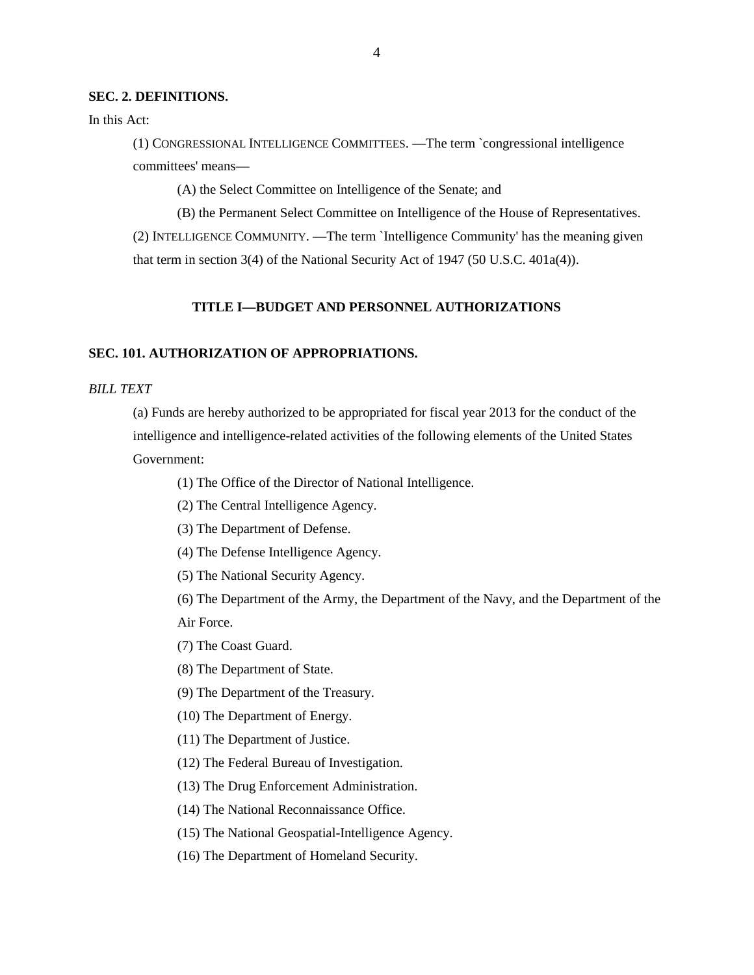#### **SEC. 2. DEFINITIONS.**

In this Act:

(1) CONGRESSIONAL INTELLIGENCE COMMITTEES. —The term `congressional intelligence committees' means—

(A) the Select Committee on Intelligence of the Senate; and

(B) the Permanent Select Committee on Intelligence of the House of Representatives. (2) INTELLIGENCE COMMUNITY. —The term `Intelligence Community' has the meaning given that term in section 3(4) of the National Security Act of 1947 (50 U.S.C. 401a(4)).

# **TITLE I—BUDGET AND PERSONNEL AUTHORIZATIONS**

## **SEC. 101. AUTHORIZATION OF APPROPRIATIONS.**

# *BILL TEXT*

(a) Funds are hereby authorized to be appropriated for fiscal year 2013 for the conduct of the intelligence and intelligence-related activities of the following elements of the United States Government:

(1) The Office of the Director of National Intelligence.

- (2) The Central Intelligence Agency.
- (3) The Department of Defense.
- (4) The Defense Intelligence Agency.
- (5) The National Security Agency.

(6) The Department of the Army, the Department of the Navy, and the Department of the Air Force.

- (7) The Coast Guard.
- (8) The Department of State.
- (9) The Department of the Treasury.
- (10) The Department of Energy.
- (11) The Department of Justice.
- (12) The Federal Bureau of Investigation.
- (13) The Drug Enforcement Administration.
- (14) The National Reconnaissance Office.
- (15) The National Geospatial-Intelligence Agency.
- (16) The Department of Homeland Security.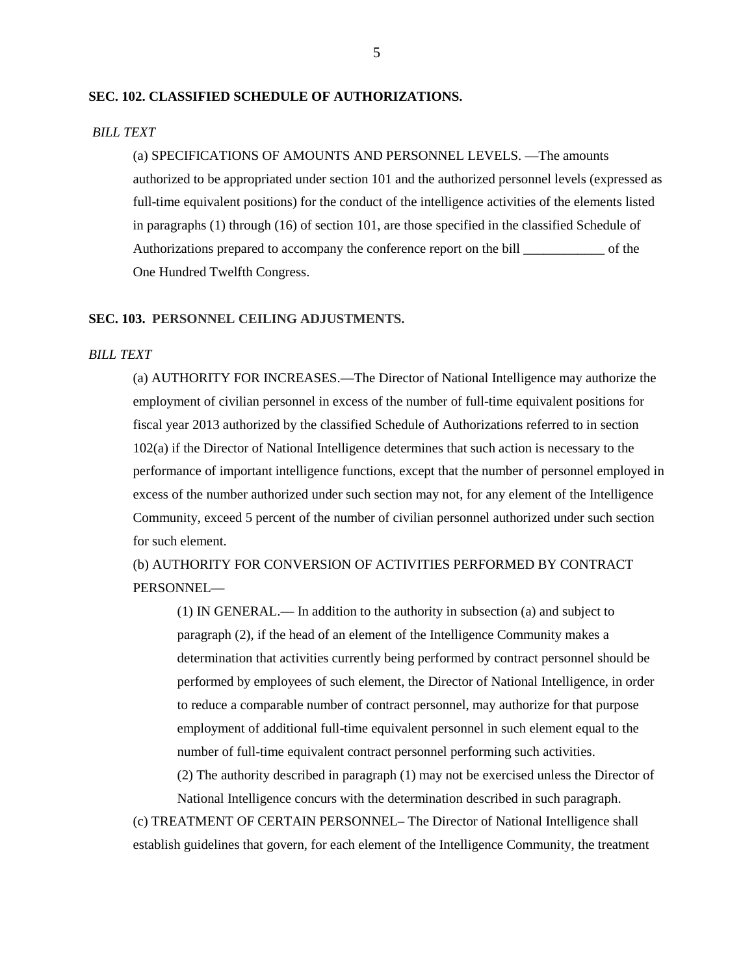#### **SEC. 102. CLASSIFIED SCHEDULE OF AUTHORIZATIONS.**

#### *BILL TEXT*

(a) SPECIFICATIONS OF AMOUNTS AND PERSONNEL LEVELS. —The amounts authorized to be appropriated under section 101 and the authorized personnel levels (expressed as full-time equivalent positions) for the conduct of the intelligence activities of the elements listed in paragraphs (1) through (16) of section 101, are those specified in the classified Schedule of Authorizations prepared to accompany the conference report on the bill \_\_\_\_\_\_\_\_\_\_\_\_ of the One Hundred Twelfth Congress.

# **SEC. 103. PERSONNEL CEILING ADJUSTMENTS.**

#### *BILL TEXT*

(a) AUTHORITY FOR INCREASES.—The Director of National Intelligence may authorize the employment of civilian personnel in excess of the number of full-time equivalent positions for fiscal year 2013 authorized by the classified Schedule of Authorizations referred to in section 102(a) if the Director of National Intelligence determines that such action is necessary to the performance of important intelligence functions, except that the number of personnel employed in excess of the number authorized under such section may not, for any element of the Intelligence Community, exceed 5 percent of the number of civilian personnel authorized under such section for such element.

(b) AUTHORITY FOR CONVERSION OF ACTIVITIES PERFORMED BY CONTRACT PERSONNEL—

(1) IN GENERAL.— In addition to the authority in subsection (a) and subject to paragraph (2), if the head of an element of the Intelligence Community makes a determination that activities currently being performed by contract personnel should be performed by employees of such element, the Director of National Intelligence, in order to reduce a comparable number of contract personnel, may authorize for that purpose employment of additional full-time equivalent personnel in such element equal to the number of full-time equivalent contract personnel performing such activities.

(2) The authority described in paragraph (1) may not be exercised unless the Director of National Intelligence concurs with the determination described in such paragraph.

(c) TREATMENT OF CERTAIN PERSONNEL– The Director of National Intelligence shall establish guidelines that govern, for each element of the Intelligence Community, the treatment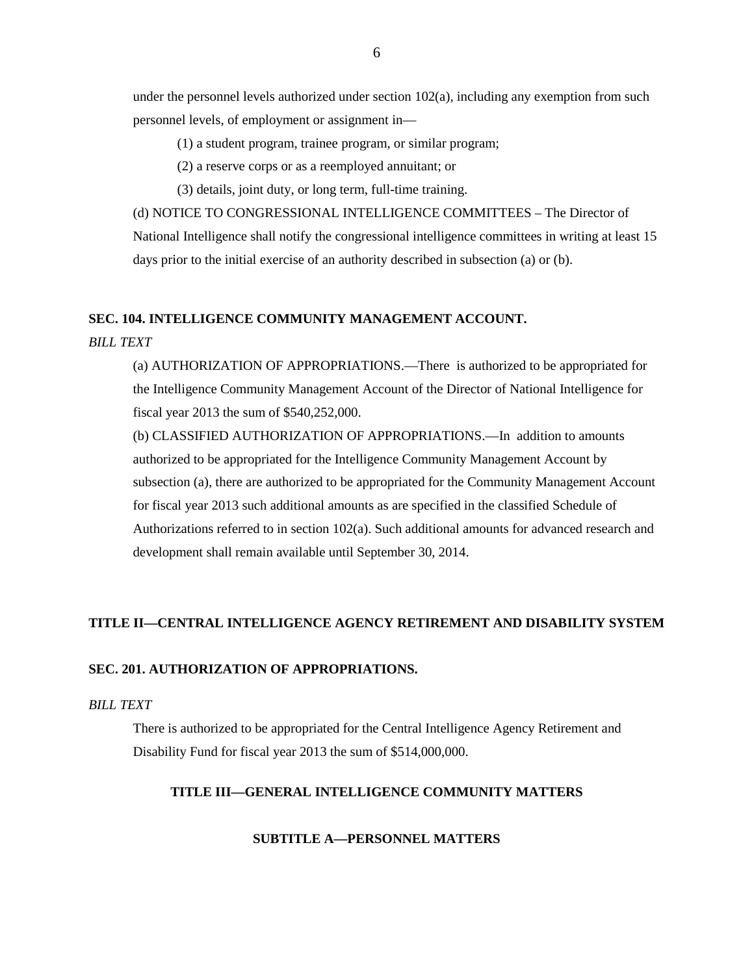under the personnel levels authorized under section 102(a), including any exemption from such personnel levels, of employment or assignment in—

(1) a student program, trainee program, or similar program;

(2) a reserve corps or as a reemployed annuitant; or

(3) details, joint duty, or long term, full-time training.

(d) NOTICE TO CONGRESSIONAL INTELLIGENCE COMMITTEES – The Director of National Intelligence shall notify the congressional intelligence committees in writing at least 15 days prior to the initial exercise of an authority described in subsection (a) or (b).

# **SEC. 104. INTELLIGENCE COMMUNITY MANAGEMENT ACCOUNT.**

#### *BILL TEXT*

(a) AUTHORIZATION OF APPROPRIATIONS.—There is authorized to be appropriated for the Intelligence Community Management Account of the Director of National Intelligence for fiscal year 2013 the sum of \$540,252,000.

(b) CLASSIFIED AUTHORIZATION OF APPROPRIATIONS.—In addition to amounts authorized to be appropriated for the Intelligence Community Management Account by subsection (a), there are authorized to be appropriated for the Community Management Account for fiscal year 2013 such additional amounts as are specified in the classified Schedule of Authorizations referred to in section 102(a). Such additional amounts for advanced research and development shall remain available until September 30, 2014.

# **TITLE II—CENTRAL INTELLIGENCE AGENCY RETIREMENT AND DISABILITY SYSTEM**

# **SEC. 201. AUTHORIZATION OF APPROPRIATIONS.**

# *BILL TEXT*

There is authorized to be appropriated for the Central Intelligence Agency Retirement and Disability Fund for fiscal year 2013 the sum of \$514,000,000.

# **TITLE III—GENERAL INTELLIGENCE COMMUNITY MATTERS**

# **SUBTITLE A—PERSONNEL MATTERS**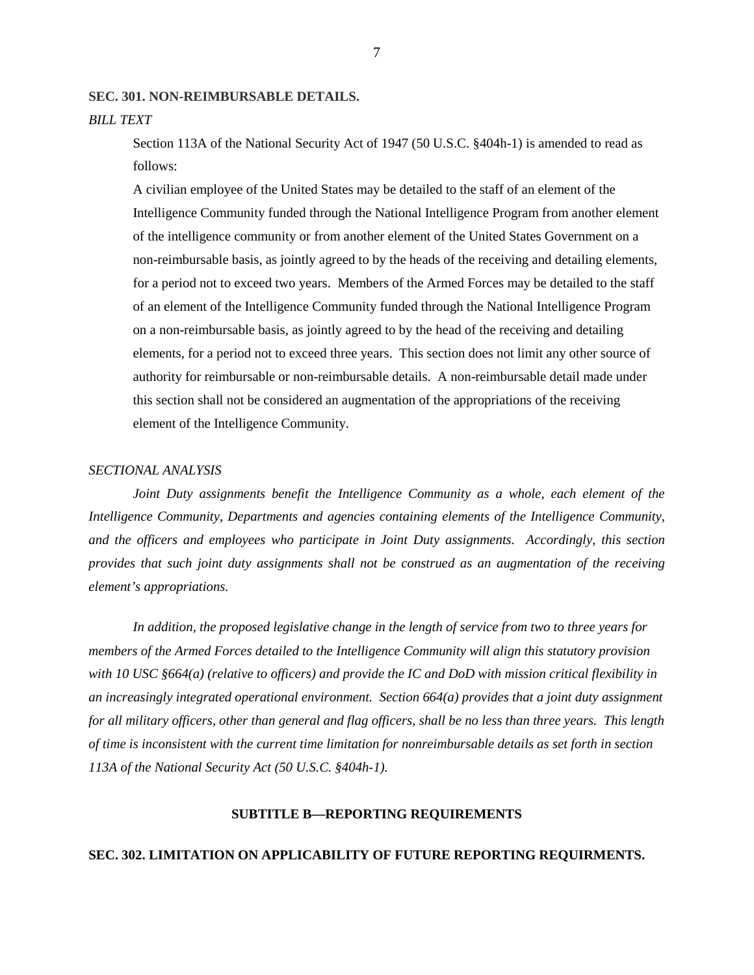#### **SEC. 301. NON-REIMBURSABLE DETAILS.**

#### *BILL TEXT*

Section 113A of the National Security Act of 1947 (50 U.S.C. §404h-1) is amended to read as follows:

A civilian employee of the United States may be detailed to the staff of an element of the Intelligence Community funded through the National Intelligence Program from another element of the intelligence community or from another element of the United States Government on a non-reimbursable basis, as jointly agreed to by the heads of the receiving and detailing elements, for a period not to exceed two years. Members of the Armed Forces may be detailed to the staff of an element of the Intelligence Community funded through the National Intelligence Program on a non-reimbursable basis, as jointly agreed to by the head of the receiving and detailing elements, for a period not to exceed three years. This section does not limit any other source of authority for reimbursable or non-reimbursable details. A non-reimbursable detail made under this section shall not be considered an augmentation of the appropriations of the receiving element of the Intelligence Community.

#### *SECTIONAL ANALYSIS*

*Joint Duty assignments benefit the Intelligence Community as a whole, each element of the Intelligence Community, Departments and agencies containing elements of the Intelligence Community, and the officers and employees who participate in Joint Duty assignments. Accordingly, this section provides that such joint duty assignments shall not be construed as an augmentation of the receiving element's appropriations.* 

*In addition, the proposed legislative change in the length of service from two to three years for members of the Armed Forces detailed to the Intelligence Community will align this statutory provision with 10 USC §664(a) (relative to officers) and provide the IC and DoD with mission critical flexibility in an increasingly integrated operational environment. Section 664(a) provides that a joint duty assignment for all military officers, other than general and flag officers, shall be no less than three years. This length of time is inconsistent with the current time limitation for nonreimbursable details as set forth in section 113A of the National Security Act (50 U.S.C. §404h-1).*

#### **SUBTITLE B—REPORTING REQUIREMENTS**

#### **SEC. 302. LIMITATION ON APPLICABILITY OF FUTURE REPORTING REQUIRMENTS.**

7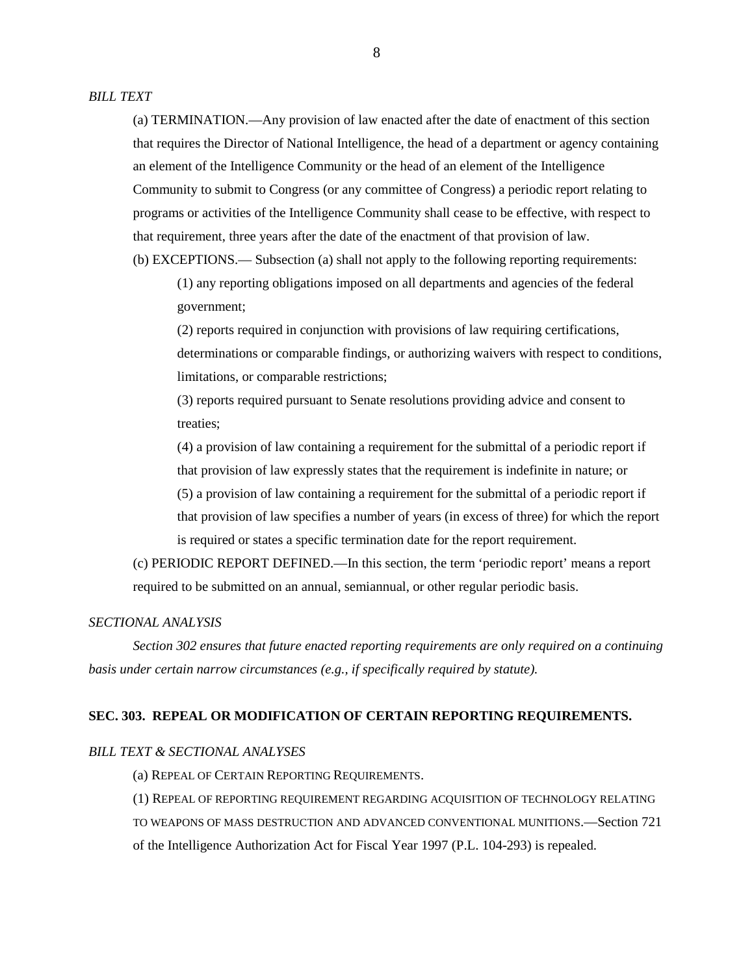(a) TERMINATION.—Any provision of law enacted after the date of enactment of this section that requires the Director of National Intelligence, the head of a department or agency containing an element of the Intelligence Community or the head of an element of the Intelligence Community to submit to Congress (or any committee of Congress) a periodic report relating to programs or activities of the Intelligence Community shall cease to be effective, with respect to that requirement, three years after the date of the enactment of that provision of law. (b) EXCEPTIONS.— Subsection (a) shall not apply to the following reporting requirements:

(1) any reporting obligations imposed on all departments and agencies of the federal government;

(2) reports required in conjunction with provisions of law requiring certifications, determinations or comparable findings, or authorizing waivers with respect to conditions, limitations, or comparable restrictions;

(3) reports required pursuant to Senate resolutions providing advice and consent to treaties;

(4) a provision of law containing a requirement for the submittal of a periodic report if that provision of law expressly states that the requirement is indefinite in nature; or (5) a provision of law containing a requirement for the submittal of a periodic report if that provision of law specifies a number of years (in excess of three) for which the report is required or states a specific termination date for the report requirement.

(c) PERIODIC REPORT DEFINED.—In this section, the term 'periodic report' means a report required to be submitted on an annual, semiannual, or other regular periodic basis.

# *SECTIONAL ANALYSIS*

*Section 302 ensures that future enacted reporting requirements are only required on a continuing basis under certain narrow circumstances (e.g., if specifically required by statute).* 

#### **SEC. 303. REPEAL OR MODIFICATION OF CERTAIN REPORTING REQUIREMENTS.**

#### *BILL TEXT & SECTIONAL ANALYSES*

(a) REPEAL OF CERTAIN REPORTING REQUIREMENTS.

(1) REPEAL OF REPORTING REQUIREMENT REGARDING ACQUISITION OF TECHNOLOGY RELATING TO WEAPONS OF MASS DESTRUCTION AND ADVANCED CONVENTIONAL MUNITIONS.—Section 721 of the Intelligence Authorization Act for Fiscal Year 1997 (P.L. 104-293) is repealed.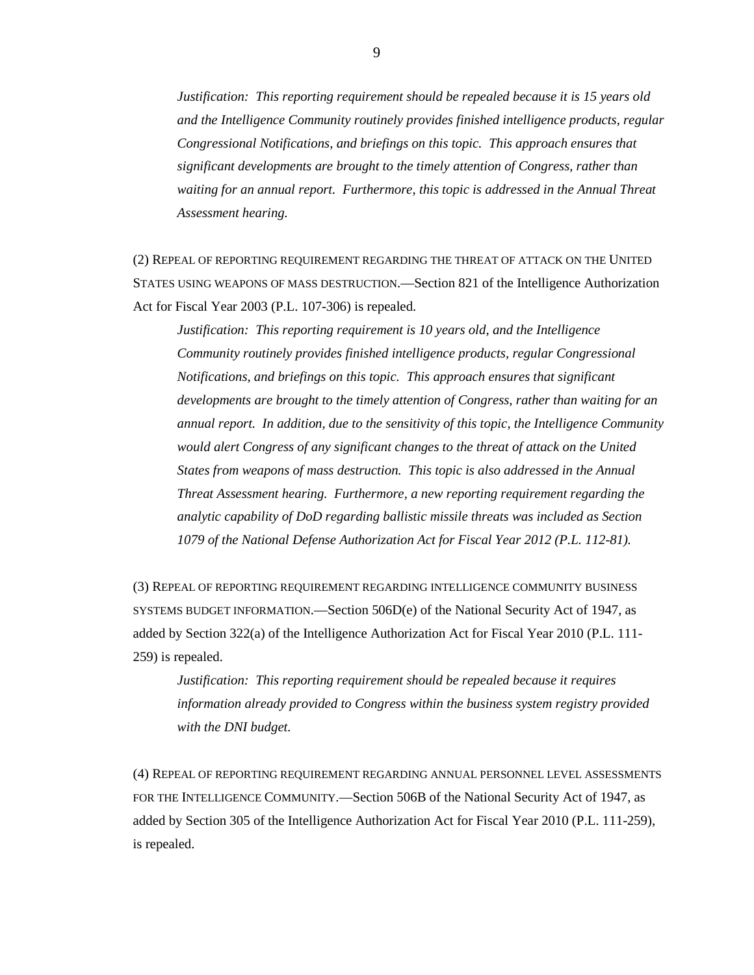*Justification: This reporting requirement should be repealed because it is 15 years old and the Intelligence Community routinely provides finished intelligence products, regular Congressional Notifications, and briefings on this topic. This approach ensures that significant developments are brought to the timely attention of Congress, rather than*  waiting for an annual report. Furthermore, this topic is addressed in the Annual Threat *Assessment hearing.* 

(2) REPEAL OF REPORTING REQUIREMENT REGARDING THE THREAT OF ATTACK ON THE UNITED STATES USING WEAPONS OF MASS DESTRUCTION.—Section 821 of the Intelligence Authorization Act for Fiscal Year 2003 (P.L. 107-306) is repealed.

*Justification: This reporting requirement is 10 years old, and the Intelligence Community routinely provides finished intelligence products, regular Congressional Notifications, and briefings on this topic. This approach ensures that significant developments are brought to the timely attention of Congress, rather than waiting for an annual report. In addition, due to the sensitivity of this topic, the Intelligence Community would alert Congress of any significant changes to the threat of attack on the United States from weapons of mass destruction. This topic is also addressed in the Annual Threat Assessment hearing. Furthermore, a new reporting requirement regarding the analytic capability of DoD regarding ballistic missile threats was included as Section 1079 of the National Defense Authorization Act for Fiscal Year 2012 (P.L. 112-81).* 

(3) REPEAL OF REPORTING REQUIREMENT REGARDING INTELLIGENCE COMMUNITY BUSINESS SYSTEMS BUDGET INFORMATION.—Section 506D(e) of the National Security Act of 1947, as added by Section 322(a) of the Intelligence Authorization Act for Fiscal Year 2010 (P.L. 111- 259) is repealed.

*Justification: This reporting requirement should be repealed because it requires information already provided to Congress within the business system registry provided with the DNI budget.* 

(4) REPEAL OF REPORTING REQUIREMENT REGARDING ANNUAL PERSONNEL LEVEL ASSESSMENTS FOR THE INTELLIGENCE COMMUNITY.—Section 506B of the National Security Act of 1947, as added by Section 305 of the Intelligence Authorization Act for Fiscal Year 2010 (P.L. 111-259), is repealed.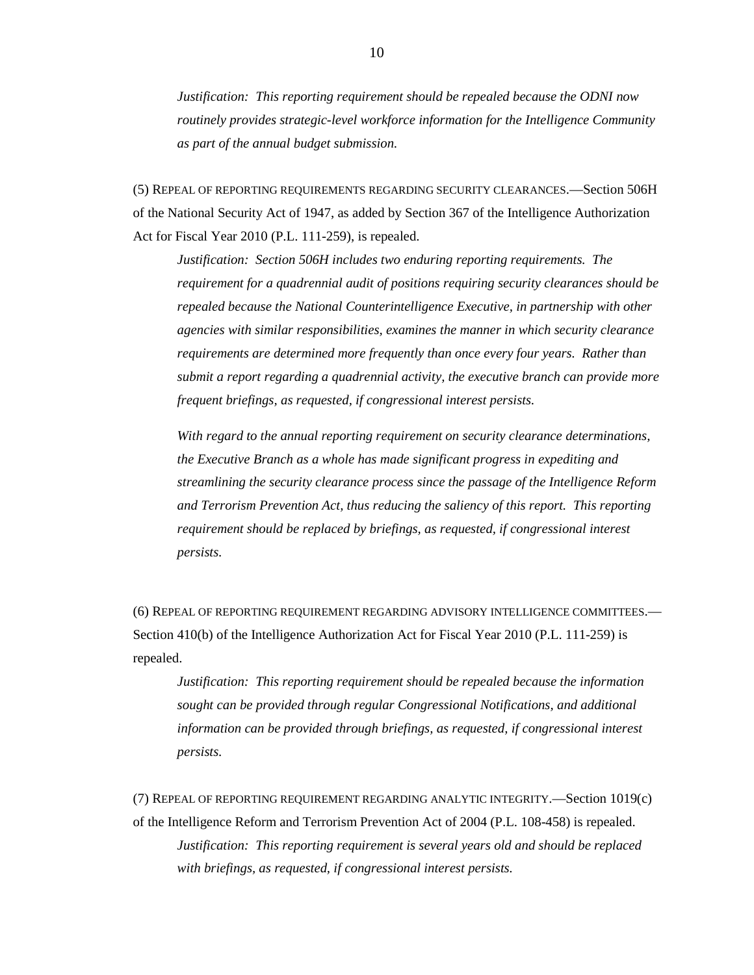*Justification: This reporting requirement should be repealed because the ODNI now routinely provides strategic-level workforce information for the Intelligence Community as part of the annual budget submission.* 

(5) REPEAL OF REPORTING REQUIREMENTS REGARDING SECURITY CLEARANCES.—Section 506H of the National Security Act of 1947, as added by Section 367 of the Intelligence Authorization Act for Fiscal Year 2010 (P.L. 111-259), is repealed.

*Justification: Section 506H includes two enduring reporting requirements. The requirement for a quadrennial audit of positions requiring security clearances should be repealed because the National Counterintelligence Executive, in partnership with other agencies with similar responsibilities, examines the manner in which security clearance requirements are determined more frequently than once every four years. Rather than submit a report regarding a quadrennial activity, the executive branch can provide more frequent briefings, as requested, if congressional interest persists.*

*With regard to the annual reporting requirement on security clearance determinations, the Executive Branch as a whole has made significant progress in expediting and streamlining the security clearance process since the passage of the Intelligence Reform and Terrorism Prevention Act, thus reducing the saliency of this report. This reporting requirement should be replaced by briefings, as requested, if congressional interest persists.* 

(6) REPEAL OF REPORTING REQUIREMENT REGARDING ADVISORY INTELLIGENCE COMMITTEES.— Section 410(b) of the Intelligence Authorization Act for Fiscal Year 2010 (P.L. 111-259) is repealed.

*Justification: This reporting requirement should be repealed because the information sought can be provided through regular Congressional Notifications, and additional information can be provided through briefings, as requested, if congressional interest persists.* 

(7) REPEAL OF REPORTING REQUIREMENT REGARDING ANALYTIC INTEGRITY.—Section 1019(c) of the Intelligence Reform and Terrorism Prevention Act of 2004 (P.L. 108-458) is repealed. *Justification: This reporting requirement is several years old and should be replaced with briefings, as requested, if congressional interest persists.*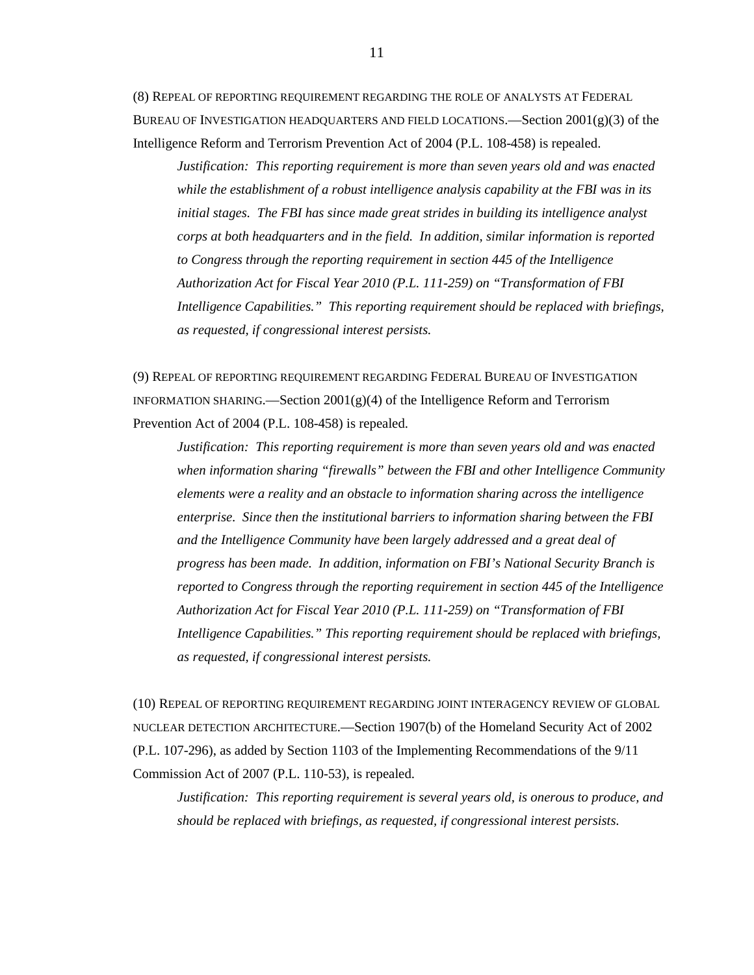(8) REPEAL OF REPORTING REQUIREMENT REGARDING THE ROLE OF ANALYSTS AT FEDERAL BUREAU OF INVESTIGATION HEADQUARTERS AND FIELD LOCATIONS.—Section  $2001(g)(3)$  of the Intelligence Reform and Terrorism Prevention Act of 2004 (P.L. 108-458) is repealed.

*Justification: This reporting requirement is more than seven years old and was enacted while the establishment of a robust intelligence analysis capability at the FBI was in its initial stages. The FBI has since made great strides in building its intelligence analyst corps at both headquarters and in the field. In addition, similar information is reported to Congress through the reporting requirement in section 445 of the Intelligence Authorization Act for Fiscal Year 2010 (P.L. 111-259) on "Transformation of FBI Intelligence Capabilities." This reporting requirement should be replaced with briefings, as requested, if congressional interest persists.* 

(9) REPEAL OF REPORTING REQUIREMENT REGARDING FEDERAL BUREAU OF INVESTIGATION INFORMATION SHARING.—Section  $2001(g)(4)$  of the Intelligence Reform and Terrorism Prevention Act of 2004 (P.L. 108-458) is repealed.

*Justification: This reporting requirement is more than seven years old and was enacted when information sharing "firewalls" between the FBI and other Intelligence Community elements were a reality and an obstacle to information sharing across the intelligence enterprise. Since then the institutional barriers to information sharing between the FBI and the Intelligence Community have been largely addressed and a great deal of progress has been made. In addition, information on FBI's National Security Branch is reported to Congress through the reporting requirement in section 445 of the Intelligence Authorization Act for Fiscal Year 2010 (P.L. 111-259) on "Transformation of FBI Intelligence Capabilities." This reporting requirement should be replaced with briefings, as requested, if congressional interest persists.*

(10) REPEAL OF REPORTING REQUIREMENT REGARDING JOINT INTERAGENCY REVIEW OF GLOBAL NUCLEAR DETECTION ARCHITECTURE.—Section 1907(b) of the Homeland Security Act of 2002 (P.L. 107-296), as added by Section 1103 of the Implementing Recommendations of the 9/11 Commission Act of 2007 (P.L. 110-53), is repealed.

*Justification: This reporting requirement is several years old, is onerous to produce, and should be replaced with briefings, as requested, if congressional interest persists.*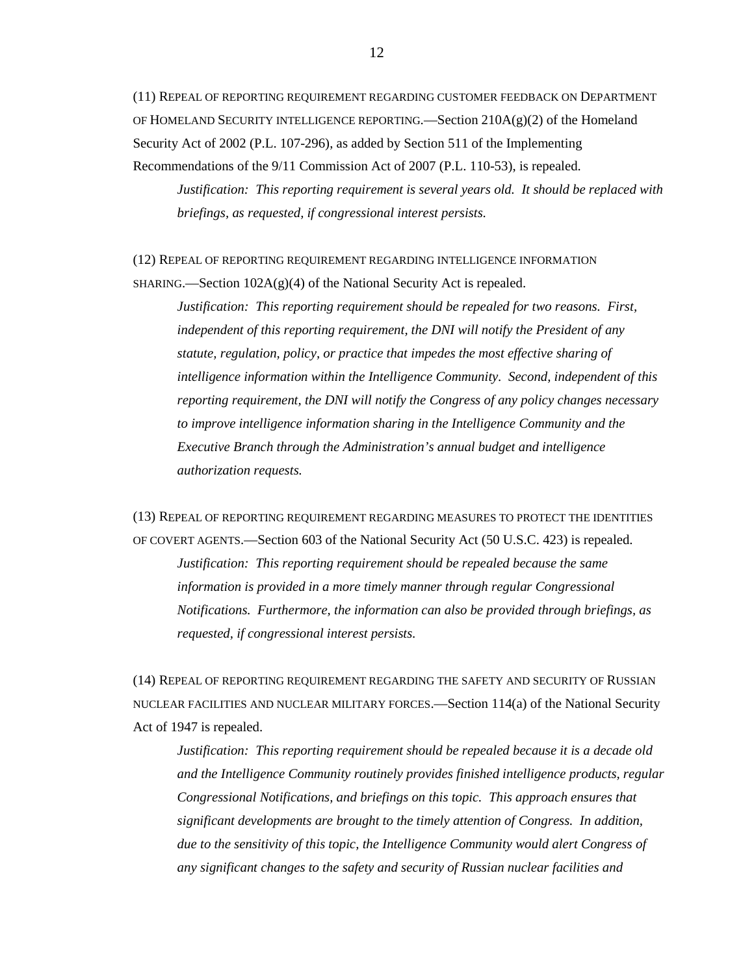(11) REPEAL OF REPORTING REQUIREMENT REGARDING CUSTOMER FEEDBACK ON DEPARTMENT OF HOMELAND SECURITY INTELLIGENCE REPORTING.—Section  $210A(g)(2)$  of the Homeland Security Act of 2002 (P.L. 107-296), as added by Section 511 of the Implementing Recommendations of the 9/11 Commission Act of 2007 (P.L. 110-53), is repealed.

*Justification: This reporting requirement is several years old. It should be replaced with briefings, as requested, if congressional interest persists.* 

(12) REPEAL OF REPORTING REQUIREMENT REGARDING INTELLIGENCE INFORMATION

SHARING.—Section 102A(g)(4) of the National Security Act is repealed.

*Justification: This reporting requirement should be repealed for two reasons. First, independent of this reporting requirement, the DNI will notify the President of any statute, regulation, policy, or practice that impedes the most effective sharing of intelligence information within the Intelligence Community. Second, independent of this reporting requirement, the DNI will notify the Congress of any policy changes necessary to improve intelligence information sharing in the Intelligence Community and the Executive Branch through the Administration's annual budget and intelligence authorization requests.*

(13) REPEAL OF REPORTING REQUIREMENT REGARDING MEASURES TO PROTECT THE IDENTITIES OF COVERT AGENTS.—Section 603 of the National Security Act (50 U.S.C. 423) is repealed. *Justification: This reporting requirement should be repealed because the same information is provided in a more timely manner through regular Congressional* 

*Notifications. Furthermore, the information can also be provided through briefings, as requested, if congressional interest persists.* 

(14) REPEAL OF REPORTING REQUIREMENT REGARDING THE SAFETY AND SECURITY OF RUSSIAN NUCLEAR FACILITIES AND NUCLEAR MILITARY FORCES.—Section 114(a) of the National Security Act of 1947 is repealed.

*Justification: This reporting requirement should be repealed because it is a decade old and the Intelligence Community routinely provides finished intelligence products, regular Congressional Notifications, and briefings on this topic. This approach ensures that significant developments are brought to the timely attention of Congress. In addition, due to the sensitivity of this topic, the Intelligence Community would alert Congress of any significant changes to the safety and security of Russian nuclear facilities and*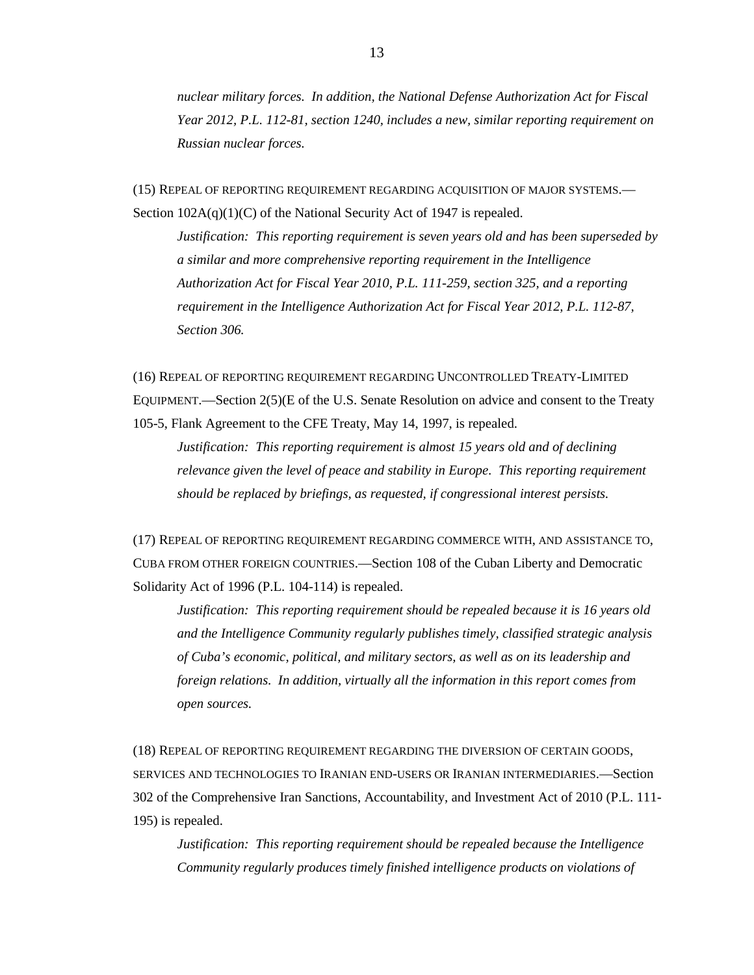*nuclear military forces. In addition, the National Defense Authorization Act for Fiscal Year 2012, P.L. 112-81, section 1240, includes a new, similar reporting requirement on Russian nuclear forces.* 

(15) REPEAL OF REPORTING REQUIREMENT REGARDING ACQUISITION OF MAJOR SYSTEMS.— Section  $102A(q)(1)(C)$  of the National Security Act of 1947 is repealed.

*Justification: This reporting requirement is seven years old and has been superseded by a similar and more comprehensive reporting requirement in the Intelligence Authorization Act for Fiscal Year 2010, P.L. 111-259, section 325, and a reporting requirement in the Intelligence Authorization Act for Fiscal Year 2012, P.L. 112-87, Section 306.* 

(16) REPEAL OF REPORTING REQUIREMENT REGARDING UNCONTROLLED TREATY-LIMITED EQUIPMENT.—Section 2(5)(E of the U.S. Senate Resolution on advice and consent to the Treaty 105-5, Flank Agreement to the CFE Treaty, May 14, 1997, is repealed.

*Justification: This reporting requirement is almost 15 years old and of declining relevance given the level of peace and stability in Europe. This reporting requirement should be replaced by briefings, as requested, if congressional interest persists.* 

(17) REPEAL OF REPORTING REQUIREMENT REGARDING COMMERCE WITH, AND ASSISTANCE TO, CUBA FROM OTHER FOREIGN COUNTRIES.—Section 108 of the Cuban Liberty and Democratic Solidarity Act of 1996 (P.L. 104-114) is repealed.

*Justification: This reporting requirement should be repealed because it is 16 years old and the Intelligence Community regularly publishes timely, classified strategic analysis of Cuba's economic, political, and military sectors, as well as on its leadership and foreign relations. In addition, virtually all the information in this report comes from open sources.*

(18) REPEAL OF REPORTING REQUIREMENT REGARDING THE DIVERSION OF CERTAIN GOODS, SERVICES AND TECHNOLOGIES TO IRANIAN END-USERS OR IRANIAN INTERMEDIARIES.—Section 302 of the Comprehensive Iran Sanctions, Accountability, and Investment Act of 2010 (P.L. 111- 195) is repealed.

*Justification: This reporting requirement should be repealed because the Intelligence Community regularly produces timely finished intelligence products on violations of*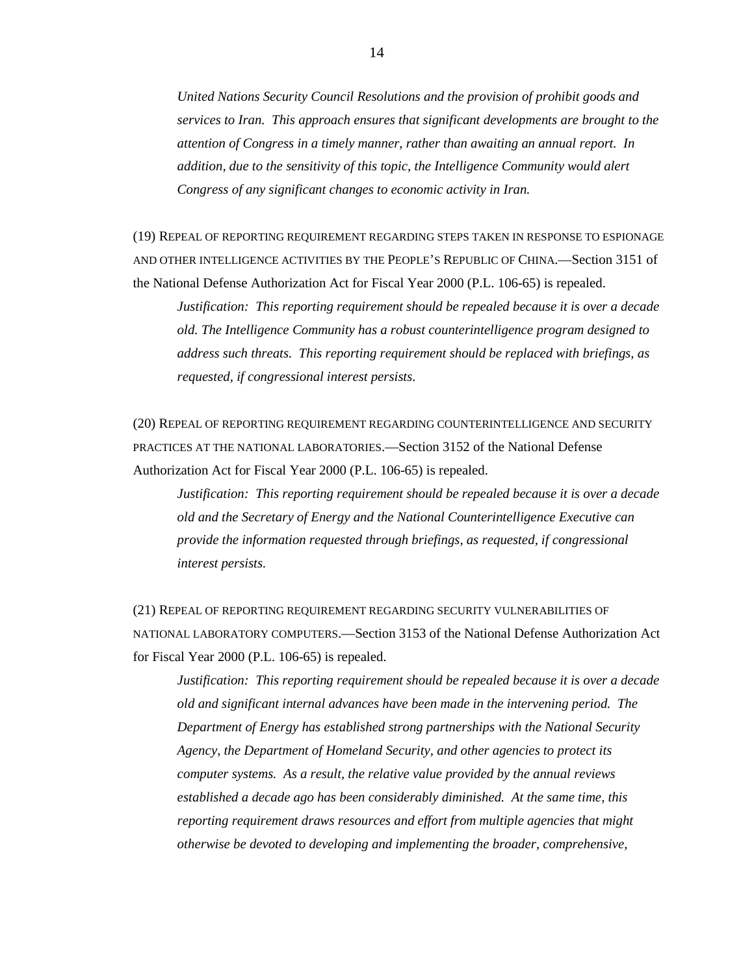*United Nations Security Council Resolutions and the provision of prohibit goods and services to Iran. This approach ensures that significant developments are brought to the attention of Congress in a timely manner, rather than awaiting an annual report. In addition, due to the sensitivity of this topic, the Intelligence Community would alert Congress of any significant changes to economic activity in Iran.*

(19) REPEAL OF REPORTING REQUIREMENT REGARDING STEPS TAKEN IN RESPONSE TO ESPIONAGE AND OTHER INTELLIGENCE ACTIVITIES BY THE PEOPLE'S REPUBLIC OF CHINA.—Section 3151 of the National Defense Authorization Act for Fiscal Year 2000 (P.L. 106-65) is repealed.

*Justification: This reporting requirement should be repealed because it is over a decade old. The Intelligence Community has a robust counterintelligence program designed to address such threats. This reporting requirement should be replaced with briefings, as requested, if congressional interest persists.* 

(20) REPEAL OF REPORTING REQUIREMENT REGARDING COUNTERINTELLIGENCE AND SECURITY PRACTICES AT THE NATIONAL LABORATORIES.—Section 3152 of the National Defense Authorization Act for Fiscal Year 2000 (P.L. 106-65) is repealed.

*Justification: This reporting requirement should be repealed because it is over a decade old and the Secretary of Energy and the National Counterintelligence Executive can provide the information requested through briefings, as requested, if congressional interest persists.* 

(21) REPEAL OF REPORTING REQUIREMENT REGARDING SECURITY VULNERABILITIES OF NATIONAL LABORATORY COMPUTERS.—Section 3153 of the National Defense Authorization Act for Fiscal Year 2000 (P.L. 106-65) is repealed.

*Justification: This reporting requirement should be repealed because it is over a decade old and significant internal advances have been made in the intervening period. The Department of Energy has established strong partnerships with the National Security Agency, the Department of Homeland Security, and other agencies to protect its computer systems. As a result, the relative value provided by the annual reviews established a decade ago has been considerably diminished. At the same time, this reporting requirement draws resources and effort from multiple agencies that might otherwise be devoted to developing and implementing the broader, comprehensive,*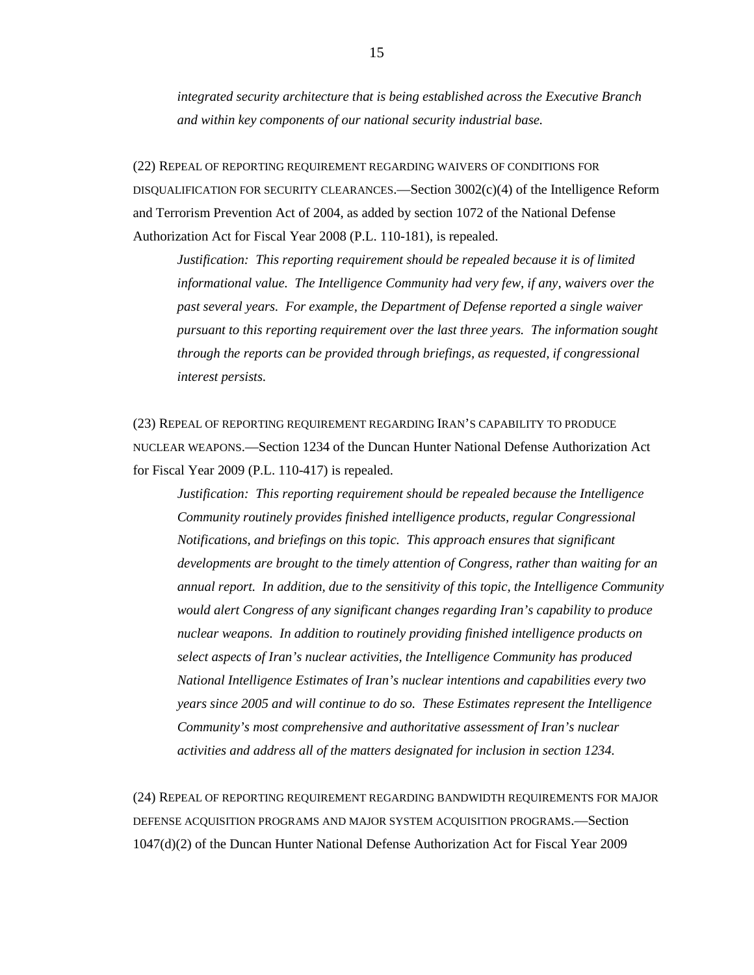*integrated security architecture that is being established across the Executive Branch and within key components of our national security industrial base.* 

(22) REPEAL OF REPORTING REQUIREMENT REGARDING WAIVERS OF CONDITIONS FOR DISQUALIFICATION FOR SECURITY CLEARANCES.—Section  $3002(c)(4)$  of the Intelligence Reform and Terrorism Prevention Act of 2004, as added by section 1072 of the National Defense Authorization Act for Fiscal Year 2008 (P.L. 110-181), is repealed.

*Justification: This reporting requirement should be repealed because it is of limited informational value. The Intelligence Community had very few, if any, waivers over the past several years. For example, the Department of Defense reported a single waiver pursuant to this reporting requirement over the last three years. The information sought through the reports can be provided through briefings, as requested, if congressional interest persists.* 

(23) REPEAL OF REPORTING REQUIREMENT REGARDING IRAN'S CAPABILITY TO PRODUCE NUCLEAR WEAPONS.—Section 1234 of the Duncan Hunter National Defense Authorization Act for Fiscal Year 2009 (P.L. 110-417) is repealed.

*Justification: This reporting requirement should be repealed because the Intelligence Community routinely provides finished intelligence products, regular Congressional Notifications, and briefings on this topic. This approach ensures that significant developments are brought to the timely attention of Congress, rather than waiting for an annual report. In addition, due to the sensitivity of this topic, the Intelligence Community would alert Congress of any significant changes regarding Iran's capability to produce nuclear weapons. In addition to routinely providing finished intelligence products on select aspects of Iran's nuclear activities, the Intelligence Community has produced National Intelligence Estimates of Iran's nuclear intentions and capabilities every two years since 2005 and will continue to do so. These Estimates represent the Intelligence Community's most comprehensive and authoritative assessment of Iran's nuclear activities and address all of the matters designated for inclusion in section 1234.*

(24) REPEAL OF REPORTING REQUIREMENT REGARDING BANDWIDTH REQUIREMENTS FOR MAJOR DEFENSE ACQUISITION PROGRAMS AND MAJOR SYSTEM ACQUISITION PROGRAMS.—Section 1047(d)(2) of the Duncan Hunter National Defense Authorization Act for Fiscal Year 2009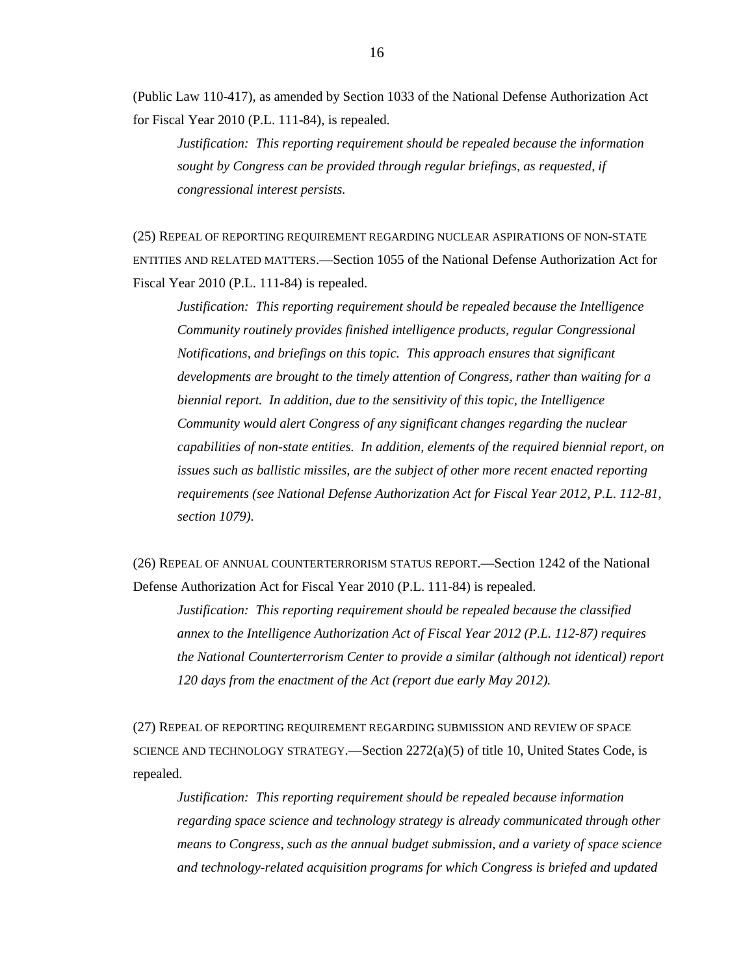(Public Law 110-417), as amended by Section 1033 of the National Defense Authorization Act for Fiscal Year 2010 (P.L. 111-84), is repealed.

*Justification: This reporting requirement should be repealed because the information sought by Congress can be provided through regular briefings, as requested, if congressional interest persists.*

(25) REPEAL OF REPORTING REQUIREMENT REGARDING NUCLEAR ASPIRATIONS OF NON-STATE ENTITIES AND RELATED MATTERS.—Section 1055 of the National Defense Authorization Act for Fiscal Year 2010 (P.L. 111-84) is repealed.

*Justification: This reporting requirement should be repealed because the Intelligence Community routinely provides finished intelligence products, regular Congressional Notifications, and briefings on this topic. This approach ensures that significant developments are brought to the timely attention of Congress, rather than waiting for a biennial report. In addition, due to the sensitivity of this topic, the Intelligence Community would alert Congress of any significant changes regarding the nuclear capabilities of non-state entities. In addition, elements of the required biennial report, on issues such as ballistic missiles, are the subject of other more recent enacted reporting requirements (see National Defense Authorization Act for Fiscal Year 2012, P.L. 112-81, section 1079).*

(26) REPEAL OF ANNUAL COUNTERTERRORISM STATUS REPORT.—Section 1242 of the National Defense Authorization Act for Fiscal Year 2010 (P.L. 111-84) is repealed.

*Justification: This reporting requirement should be repealed because the classified annex to the Intelligence Authorization Act of Fiscal Year 2012 (P.L. 112-87) requires the National Counterterrorism Center to provide a similar (although not identical) report 120 days from the enactment of the Act (report due early May 2012).* 

(27) REPEAL OF REPORTING REQUIREMENT REGARDING SUBMISSION AND REVIEW OF SPACE SCIENCE AND TECHNOLOGY STRATEGY.—Section  $2272(a)(5)$  of title 10, United States Code, is repealed.

*Justification: This reporting requirement should be repealed because information regarding space science and technology strategy is already communicated through other means to Congress, such as the annual budget submission, and a variety of space science and technology-related acquisition programs for which Congress is briefed and updated*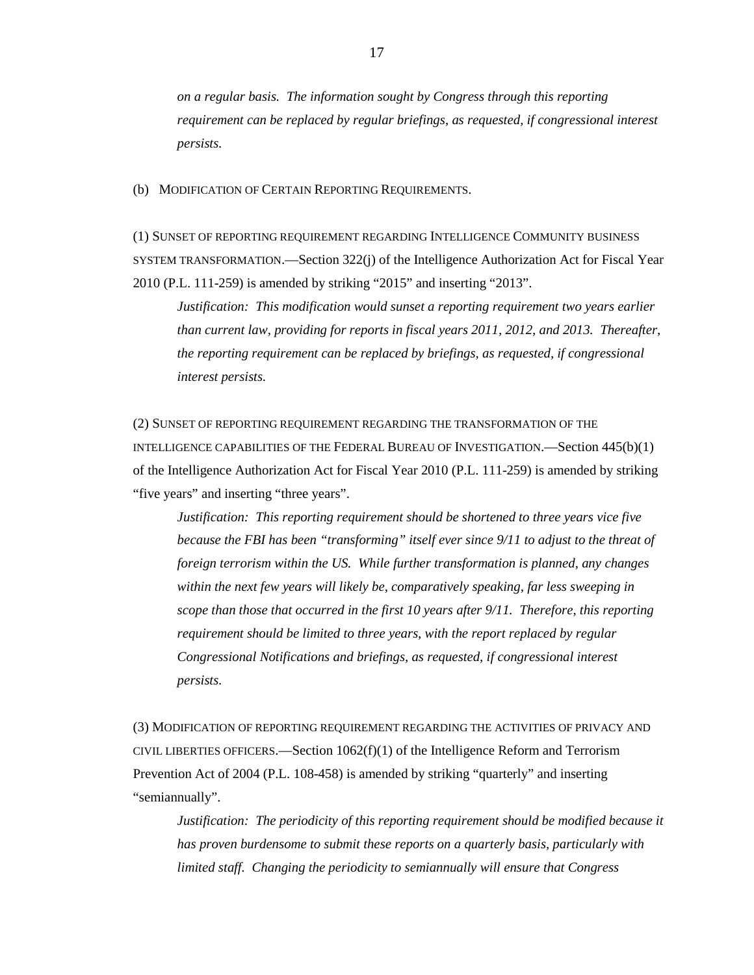*on a regular basis. The information sought by Congress through this reporting requirement can be replaced by regular briefings, as requested, if congressional interest persists.*

(b) MODIFICATION OF CERTAIN REPORTING REQUIREMENTS.

(1) SUNSET OF REPORTING REQUIREMENT REGARDING INTELLIGENCE COMMUNITY BUSINESS SYSTEM TRANSFORMATION.—Section 322(j) of the Intelligence Authorization Act for Fiscal Year 2010 (P.L. 111-259) is amended by striking "2015" and inserting "2013".

*Justification: This modification would sunset a reporting requirement two years earlier than current law, providing for reports in fiscal years 2011, 2012, and 2013. Thereafter, the reporting requirement can be replaced by briefings, as requested, if congressional interest persists.* 

(2) SUNSET OF REPORTING REQUIREMENT REGARDING THE TRANSFORMATION OF THE INTELLIGENCE CAPABILITIES OF THE FEDERAL BUREAU OF INVESTIGATION.—Section 445(b)(1) of the Intelligence Authorization Act for Fiscal Year 2010 (P.L. 111-259) is amended by striking "five years" and inserting "three years".

*Justification: This reporting requirement should be shortened to three years vice five because the FBI has been "transforming" itself ever since 9/11 to adjust to the threat of foreign terrorism within the US. While further transformation is planned, any changes within the next few years will likely be, comparatively speaking, far less sweeping in scope than those that occurred in the first 10 years after 9/11. Therefore, this reporting requirement should be limited to three years, with the report replaced by regular Congressional Notifications and briefings, as requested, if congressional interest persists.* 

(3) MODIFICATION OF REPORTING REQUIREMENT REGARDING THE ACTIVITIES OF PRIVACY AND CIVIL LIBERTIES OFFICERS.—Section  $1062(f)(1)$  of the Intelligence Reform and Terrorism Prevention Act of 2004 (P.L. 108-458) is amended by striking "quarterly" and inserting "semiannually".

*Justification: The periodicity of this reporting requirement should be modified because it has proven burdensome to submit these reports on a quarterly basis, particularly with limited staff. Changing the periodicity to semiannually will ensure that Congress*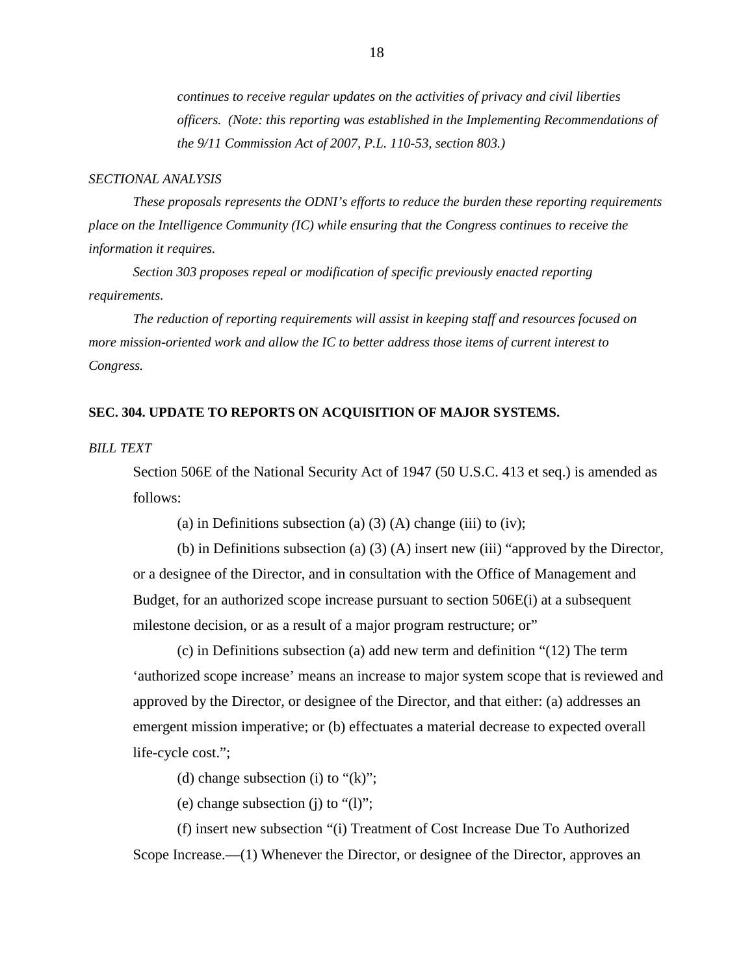*continues to receive regular updates on the activities of privacy and civil liberties officers. (Note: this reporting was established in the Implementing Recommendations of the 9/11 Commission Act of 2007, P.L. 110-53, section 803.)*

#### *SECTIONAL ANALYSIS*

*These proposals represents the ODNI's efforts to reduce the burden these reporting requirements place on the Intelligence Community (IC) while ensuring that the Congress continues to receive the information it requires.* 

*Section 303 proposes repeal or modification of specific previously enacted reporting requirements.* 

*The reduction of reporting requirements will assist in keeping staff and resources focused on more mission-oriented work and allow the IC to better address those items of current interest to Congress.* 

# **SEC. 304. UPDATE TO REPORTS ON ACQUISITION OF MAJOR SYSTEMS.**

*BILL TEXT*

Section 506E of the National Security Act of 1947 (50 U.S.C. 413 et seq.) is amended as follows:

(a) in Definitions subsection (a)  $(3)$  (A) change (iii) to (iv);

(b) in Definitions subsection (a) (3) (A) insert new (iii) "approved by the Director, or a designee of the Director, and in consultation with the Office of Management and Budget, for an authorized scope increase pursuant to section 506E(i) at a subsequent milestone decision, or as a result of a major program restructure; or"

(c) in Definitions subsection (a) add new term and definition "(12) The term 'authorized scope increase' means an increase to major system scope that is reviewed and approved by the Director, or designee of the Director, and that either: (a) addresses an emergent mission imperative; or (b) effectuates a material decrease to expected overall life-cycle cost.";

(d) change subsection (i) to " $(k)$ ";

(e) change subsection (j) to "(l)";

(f) insert new subsection "(i) Treatment of Cost Increase Due To Authorized Scope Increase.—(1) Whenever the Director, or designee of the Director, approves an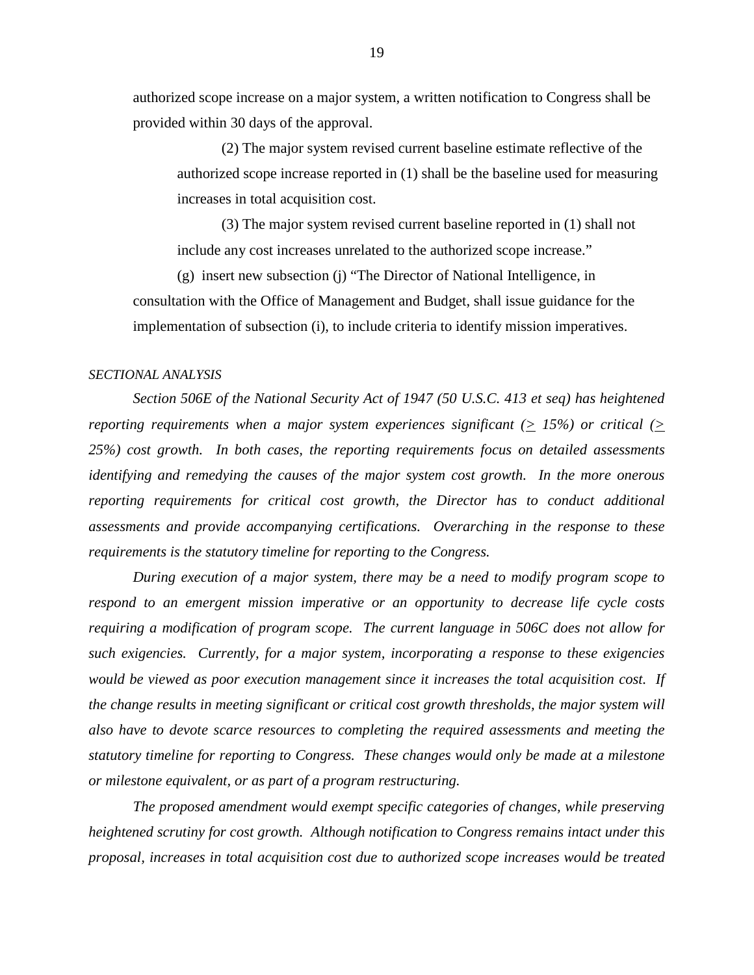authorized scope increase on a major system, a written notification to Congress shall be provided within 30 days of the approval.

(2) The major system revised current baseline estimate reflective of the authorized scope increase reported in (1) shall be the baseline used for measuring increases in total acquisition cost.

(3) The major system revised current baseline reported in (1) shall not include any cost increases unrelated to the authorized scope increase."

(g) insert new subsection (j) "The Director of National Intelligence, in consultation with the Office of Management and Budget, shall issue guidance for the implementation of subsection (i), to include criteria to identify mission imperatives.

# *SECTIONAL ANALYSIS*

*Section 506E of the National Security Act of 1947 (50 U.S.C. 413 et seq) has heightened reporting requirements when a major system experiences significant (* $\geq$  *15%) or critical (* $\geq$ *25%) cost growth. In both cases, the reporting requirements focus on detailed assessments identifying and remedying the causes of the major system cost growth. In the more onerous reporting requirements for critical cost growth, the Director has to conduct additional assessments and provide accompanying certifications. Overarching in the response to these requirements is the statutory timeline for reporting to the Congress.*

*During execution of a major system, there may be a need to modify program scope to respond to an emergent mission imperative or an opportunity to decrease life cycle costs requiring a modification of program scope. The current language in 506C does not allow for such exigencies. Currently, for a major system, incorporating a response to these exigencies would be viewed as poor execution management since it increases the total acquisition cost. If the change results in meeting significant or critical cost growth thresholds, the major system will also have to devote scarce resources to completing the required assessments and meeting the statutory timeline for reporting to Congress. These changes would only be made at a milestone or milestone equivalent, or as part of a program restructuring.*

*The proposed amendment would exempt specific categories of changes, while preserving heightened scrutiny for cost growth. Although notification to Congress remains intact under this proposal, increases in total acquisition cost due to authorized scope increases would be treated*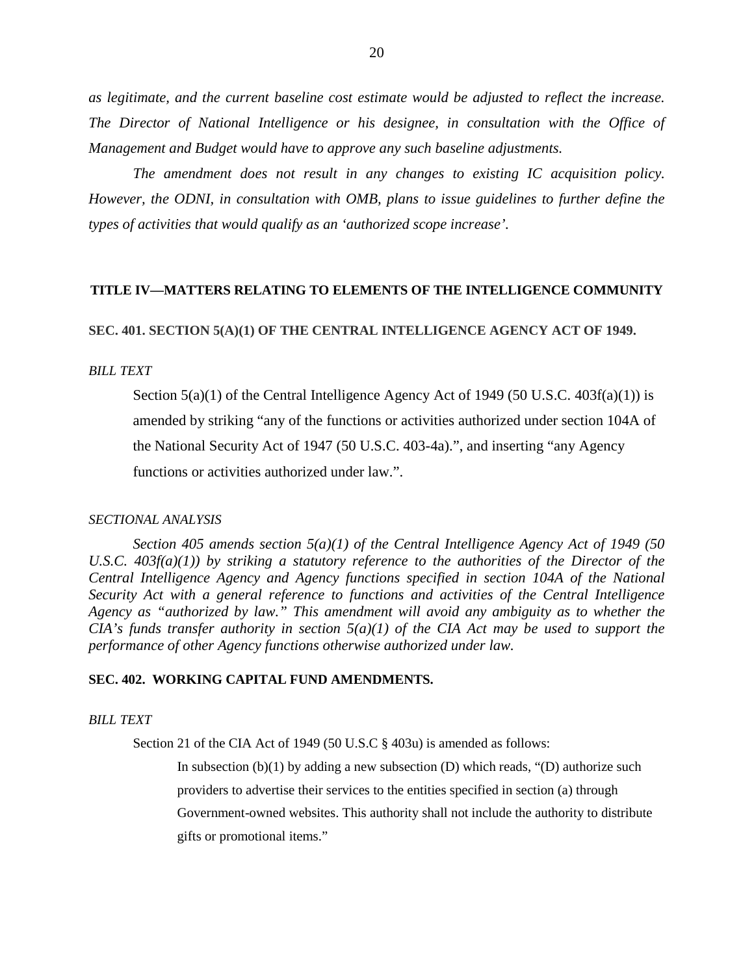*as legitimate, and the current baseline cost estimate would be adjusted to reflect the increase. The Director of National Intelligence or his designee, in consultation with the Office of Management and Budget would have to approve any such baseline adjustments.*

*The amendment does not result in any changes to existing IC acquisition policy. However, the ODNI, in consultation with OMB, plans to issue guidelines to further define the types of activities that would qualify as an 'authorized scope increase'.*

#### **TITLE IV—MATTERS RELATING TO ELEMENTS OF THE INTELLIGENCE COMMUNITY**

**SEC. 401. SECTION 5(A)(1) OF THE CENTRAL INTELLIGENCE AGENCY ACT OF 1949.**

#### *BILL TEXT*

Section  $5(a)(1)$  of the Central Intelligence Agency Act of 1949 (50 U.S.C. 403f(a)(1)) is amended by striking "any of the functions or activities authorized under section 104A of the National Security Act of 1947 (50 U.S.C. 403-4a).", and inserting "any Agency functions or activities authorized under law.".

#### *SECTIONAL ANALYSIS*

*Section 405 amends section 5(a)(1) of the Central Intelligence Agency Act of 1949 (50 U.S.C. 403f(a)(1)) by striking a statutory reference to the authorities of the Director of the Central Intelligence Agency and Agency functions specified in section 104A of the National Security Act with a general reference to functions and activities of the Central Intelligence Agency as "authorized by law." This amendment will avoid any ambiguity as to whether the CIA's funds transfer authority in section*  $5(a)(1)$  *of the CIA Act may be used to support the performance of other Agency functions otherwise authorized under law.*

#### **SEC. 402. WORKING CAPITAL FUND AMENDMENTS.**

#### *BILL TEXT*

Section 21 of the CIA Act of 1949 (50 U.S.C § 403u) is amended as follows:

In subsection  $(b)(1)$  by adding a new subsection  $(D)$  which reads, " $(D)$  authorize such providers to advertise their services to the entities specified in section (a) through Government-owned websites. This authority shall not include the authority to distribute gifts or promotional items."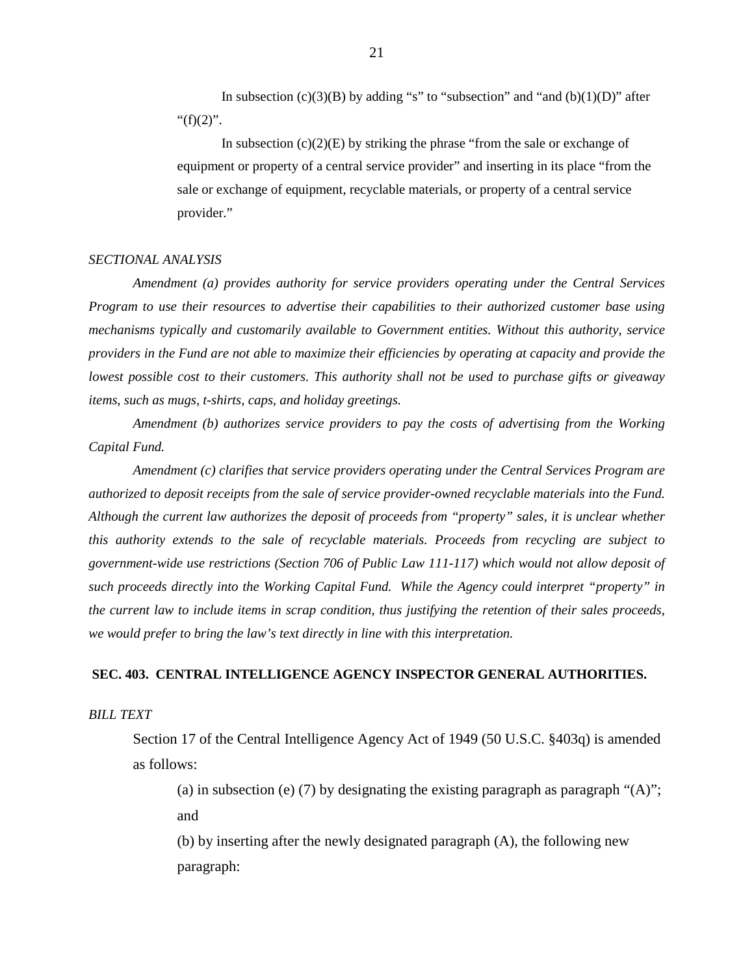In subsection  $(c)(3)(B)$  by adding "s" to "subsection" and "and  $(b)(1)(D)$ " after " $(f)(2)$ ".

In subsection  $(c)(2)(E)$  by striking the phrase "from the sale or exchange of equipment or property of a central service provider" and inserting in its place "from the sale or exchange of equipment, recyclable materials, or property of a central service provider."

#### *SECTIONAL ANALYSIS*

*Amendment (a) provides authority for service providers operating under the Central Services Program to use their resources to advertise their capabilities to their authorized customer base using mechanisms typically and customarily available to Government entities. Without this authority, service providers in the Fund are not able to maximize their efficiencies by operating at capacity and provide the lowest possible cost to their customers. This authority shall not be used to purchase gifts or giveaway items, such as mugs, t-shirts, caps, and holiday greetings.* 

*Amendment (b) authorizes service providers to pay the costs of advertising from the Working Capital Fund.*

*Amendment (c) clarifies that service providers operating under the Central Services Program are authorized to deposit receipts from the sale of service provider-owned recyclable materials into the Fund. Although the current law authorizes the deposit of proceeds from "property" sales, it is unclear whether this authority extends to the sale of recyclable materials. Proceeds from recycling are subject to government-wide use restrictions (Section 706 of Public Law 111-117) which would not allow deposit of such proceeds directly into the Working Capital Fund. While the Agency could interpret "property" in the current law to include items in scrap condition, thus justifying the retention of their sales proceeds, we would prefer to bring the law's text directly in line with this interpretation.*

#### **SEC. 403. CENTRAL INTELLIGENCE AGENCY INSPECTOR GENERAL AUTHORITIES.**

*BILL TEXT*

Section 17 of the Central Intelligence Agency Act of 1949 (50 U.S.C. §403q) is amended as follows:

(a) in subsection (e) (7) by designating the existing paragraph as paragraph " $(A)$ "; and

(b) by inserting after the newly designated paragraph (A), the following new paragraph:

21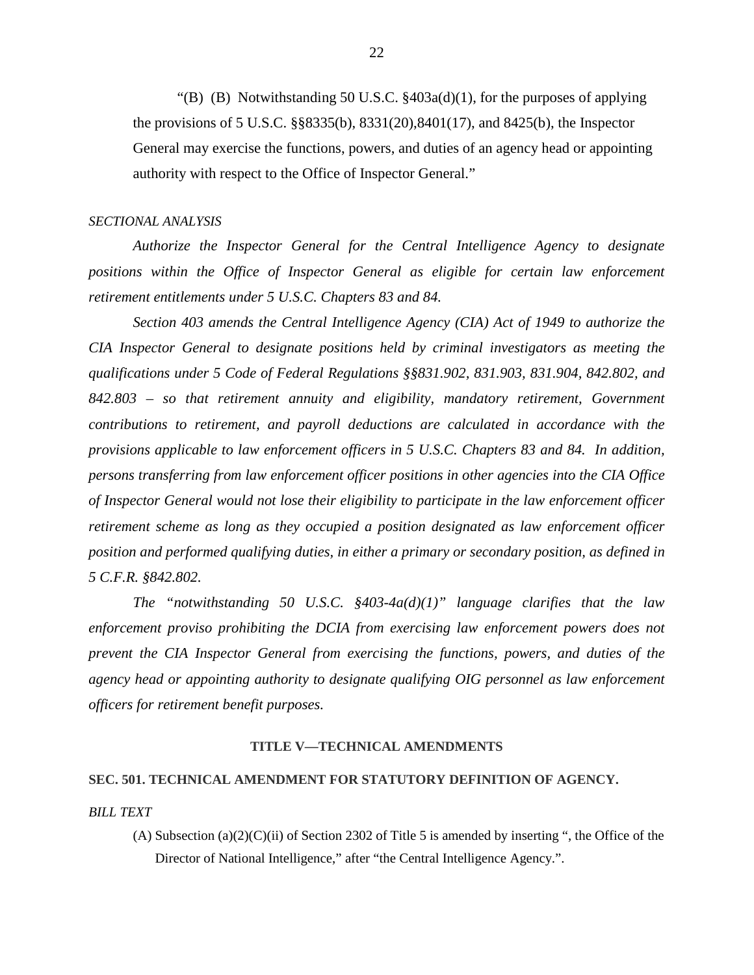"(B) (B) Notwithstanding 50 U.S.C.  $\frac{2403a(d)}{1}$ , for the purposes of applying the provisions of 5 U.S.C. §§8335(b), 8331(20),8401(17), and 8425(b), the Inspector General may exercise the functions, powers, and duties of an agency head or appointing authority with respect to the Office of Inspector General."

#### *SECTIONAL ANALYSIS*

*Authorize the Inspector General for the Central Intelligence Agency to designate*  positions within the Office of Inspector General as eligible for certain law enforcement *retirement entitlements under 5 U.S.C. Chapters 83 and 84.*

*Section 403 amends the Central Intelligence Agency (CIA) Act of 1949 to authorize the CIA Inspector General to designate positions held by criminal investigators as meeting the qualifications under 5 Code of Federal Regulations §§831.902, 831.903, 831.904, 842.802, and 842.803 – so that retirement annuity and eligibility, mandatory retirement, Government contributions to retirement, and payroll deductions are calculated in accordance with the provisions applicable to law enforcement officers in 5 U.S.C. Chapters 83 and 84. In addition, persons transferring from law enforcement officer positions in other agencies into the CIA Office of Inspector General would not lose their eligibility to participate in the law enforcement officer retirement scheme as long as they occupied a position designated as law enforcement officer position and performed qualifying duties, in either a primary or secondary position, as defined in 5 C.F.R. §842.802.*

*The "notwithstanding 50 U.S.C. §403-4a(d)(1)" language clarifies that the law enforcement proviso prohibiting the DCIA from exercising law enforcement powers does not prevent the CIA Inspector General from exercising the functions, powers, and duties of the agency head or appointing authority to designate qualifying OIG personnel as law enforcement officers for retirement benefit purposes.*

# **TITLE V—TECHNICAL AMENDMENTS**

# **SEC. 501. TECHNICAL AMENDMENT FOR STATUTORY DEFINITION OF AGENCY.**

#### *BILL TEXT*

(A) Subsection (a)(2)(C)(ii) of Section 2302 of Title 5 is amended by inserting ", the Office of the Director of National Intelligence," after "the Central Intelligence Agency.".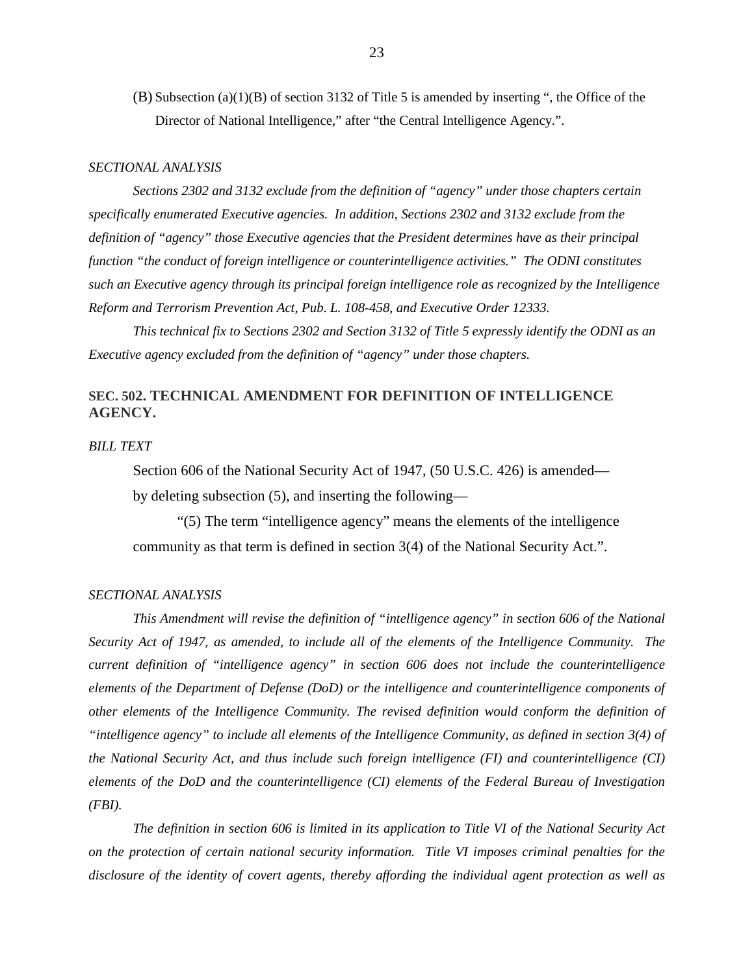(B) Subsection (a)(1)(B) of section 3132 of Title 5 is amended by inserting ", the Office of the Director of National Intelligence," after "the Central Intelligence Agency.".

#### *SECTIONAL ANALYSIS*

*Sections 2302 and 3132 exclude from the definition of "agency" under those chapters certain specifically enumerated Executive agencies. In addition, Sections 2302 and 3132 exclude from the definition of "agency" those Executive agencies that the President determines have as their principal function "the conduct of foreign intelligence or counterintelligence activities." The ODNI constitutes such an Executive agency through its principal foreign intelligence role as recognized by the Intelligence Reform and Terrorism Prevention Act, Pub. L. 108-458, and Executive Order 12333.* 

*This technical fix to Sections 2302 and Section 3132 of Title 5 expressly identify the ODNI as an Executive agency excluded from the definition of "agency" under those chapters.* 

# **SEC. 502. TECHNICAL AMENDMENT FOR DEFINITION OF INTELLIGENCE AGENCY.**

# *BILL TEXT*

Section 606 of the National Security Act of 1947, (50 U.S.C. 426) is amended by deleting subsection (5), and inserting the following—

"(5) The term "intelligence agency" means the elements of the intelligence community as that term is defined in section 3(4) of the National Security Act.".

#### *SECTIONAL ANALYSIS*

*This Amendment will revise the definition of "intelligence agency" in section 606 of the National Security Act of 1947, as amended, to include all of the elements of the Intelligence Community. The current definition of "intelligence agency" in section 606 does not include the counterintelligence elements of the Department of Defense (DoD) or the intelligence and counterintelligence components of other elements of the Intelligence Community. The revised definition would conform the definition of "intelligence agency" to include all elements of the Intelligence Community, as defined in section 3(4) of the National Security Act, and thus include such foreign intelligence (FI) and counterintelligence (CI) elements of the DoD and the counterintelligence (CI) elements of the Federal Bureau of Investigation (FBI).* 

*The definition in section 606 is limited in its application to Title VI of the National Security Act on the protection of certain national security information. Title VI imposes criminal penalties for the disclosure of the identity of covert agents, thereby affording the individual agent protection as well as*